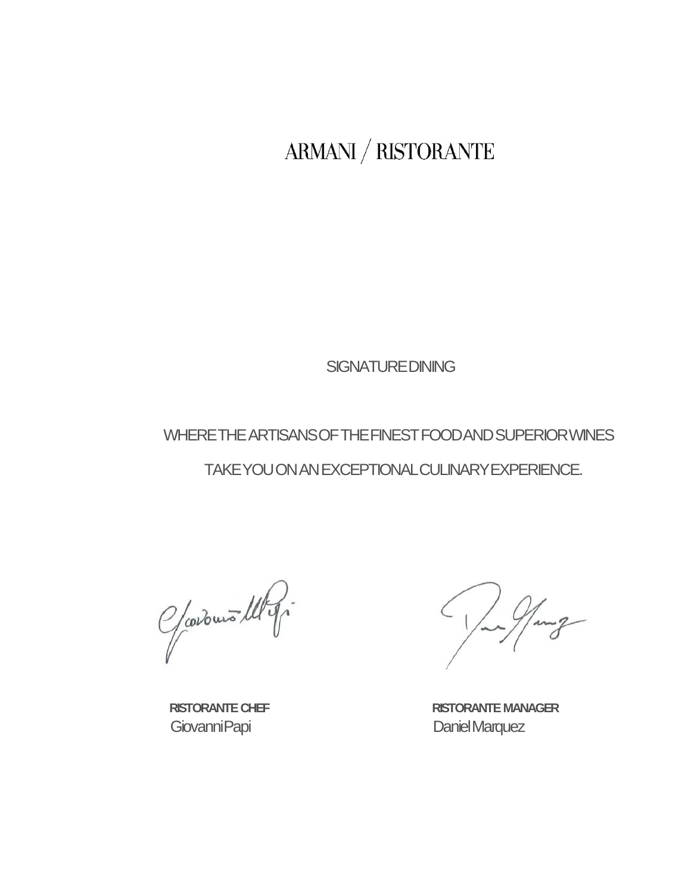$\left\langle \mathrm{ARMANI}\right\rangle /\mathrm{RISTORANTE}$ 

**SIGNATURE DINING** 

WHERE THE ARTISANS OF THE FINEST FOOD AND SUPERIOR WINES

TAKE YOU ON AN EXCEPTIONAL CULINARY EXPERIENCE.

Gardens Ulg.

Giovanni Papi **Daniel Marquez** 

 **RISTORANTE CHEF RISTORANTE MANAGER**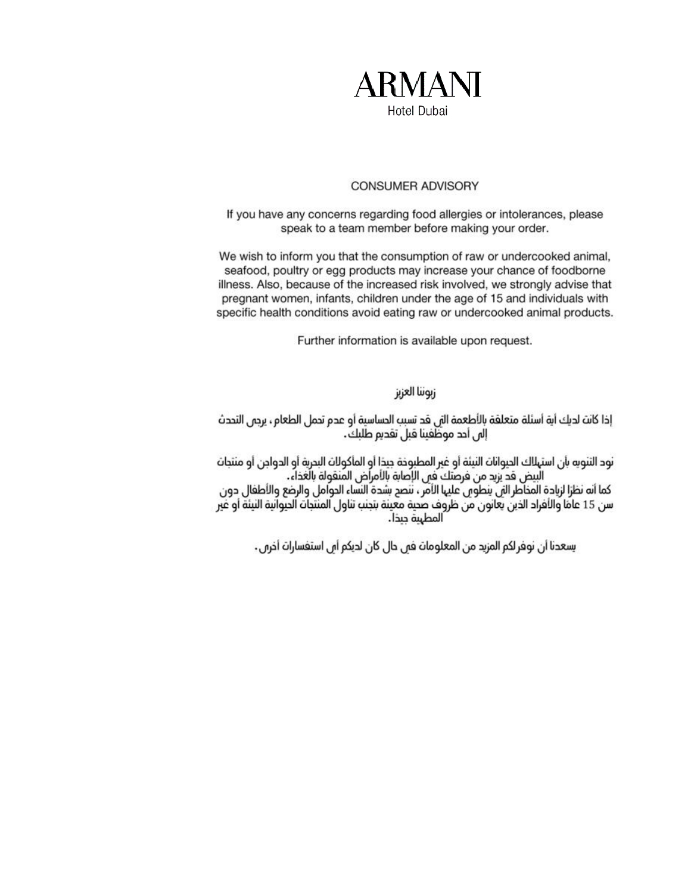

### **CONSUMER ADVISORY**

If you have any concerns regarding food allergies or intolerances, please speak to a team member before making your order.

We wish to inform you that the consumption of raw or undercooked animal, seafood, poultry or egg products may increase your chance of foodborne illness. Also, because of the increased risk involved, we strongly advise that pregnant women, infants, children under the age of 15 and individuals with specific health conditions avoid eating raw or undercooked animal products.

Further information is available upon request.

زبوننا العزيز

إذا كانت لديك أية أسئلة متعلقة بالأطعمة التي قد تسبب الدساسية أو عدم تدمل الطعام، يرجس التحدث<br>إلى أحد موظفينا قبل تقديم طلبك.

نود التنويه بأن استهلاك الديوانات النيئة أو غير المطبوخة جيدًا أو المأكولات البدرية أو الدواجن أو منتجات البيض قد يزيد من فرصَكَ فين الإَصابة بالأمراض المُنقولة بالَغذاءُ.

كما أنه نظرًا لزيادة المخاطر التي ينطوس عليها الأمر ، ننصع بشدة النساء الدوامل والرضع والأطفال دون سن 15 عامًا والأفراد الذينَ يَعَانونَ مَنْ ظرْوَف صَحِية معينة بتجنب تناول المنتّجات الحيوانية النيئة أو غير<br>المطهية جيدًا.

يسعدنا أن نوفر لكم المزيد من المعلومات فمي حال كان لديكم أمي استفسارات أخرمي.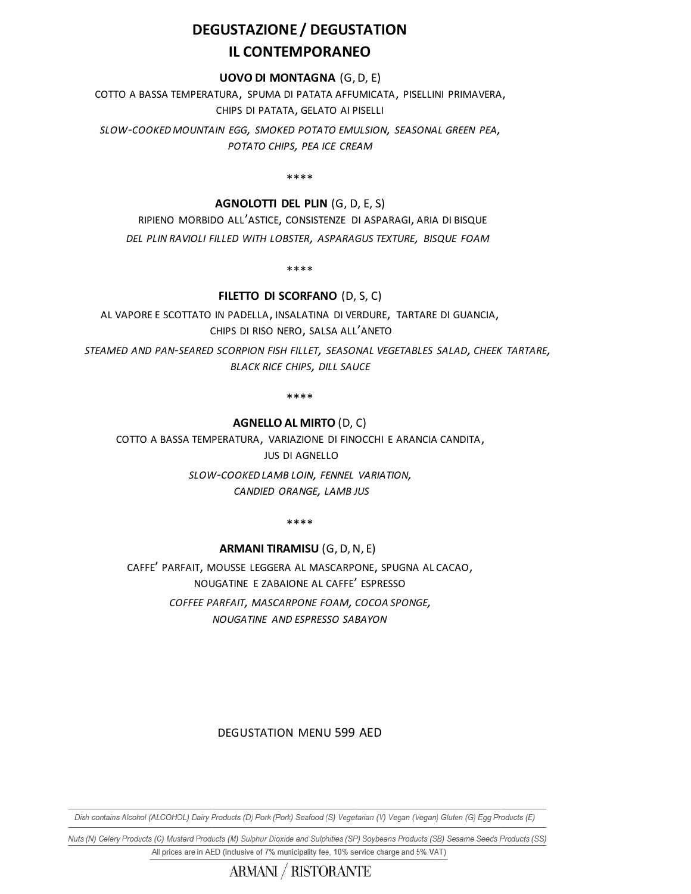## **DEGUSTAZIONE / DEGUSTATION IL CONTEMPORANEO**

#### **UOVO DI MONTAGNA** (G,D, E)

COTTO A BASSA TEMPERATURA, SPUMA DI PATATA AFFUMICATA, PISELLINI PRIMAVERA, CHIPS DI PATATA, GELATO AI PISELLI

*SLOW-COOKED MOUNTAIN EGG, SMOKED POTATO EMULSION, SEASONAL GREEN PEA, POTATO CHIPS, PEA ICE CREAM*

\*\*\*\*

#### **AGNOLOTTI DEL PLIN** (G, D, E, S)

 RIPIENO MORBIDO ALL'ASTICE, CONSISTENZE DI ASPARAGI, ARIA DI BISQUE  *DEL PLIN RAVIOLI FILLED WITH LOBSTER, ASPARAGUS TEXTURE, BISQUE FOAM*

\*\*\*\*

#### **FILETTO DI SCORFANO** (D, S, C)

AL VAPORE E SCOTTATO IN PADELLA, INSALATINA DI VERDURE, TARTARE DI GUANCIA, CHIPS DI RISO NERO, SALSA ALL'ANETO

 *STEAMED AND PAN-SEARED SCORPION FISH FILLET, SEASONAL VEGETABLES SALAD, CHEEK TARTARE, BLACK RICE CHIPS, DILL SAUCE* 

\*\*\*\*

#### **AGNELLO AL MIRTO** (D, C)

COTTO A BASSA TEMPERATURA, VARIAZIONE DI FINOCCHI E ARANCIA CANDITA, JUS DI AGNELLO

> *SLOW-COOKED LAMB LOIN, FENNEL VARIATION, CANDIED ORANGE, LAMB JUS*

> > \*\*\*\*

#### **ARMANI TIRAMISU** (G, D,N, E)

CAFFE' PARFAIT, MOUSSE LEGGERA AL MASCARPONE, SPUGNA AL CACAO, NOUGATINE E ZABAIONE AL CAFFE' ESPRESSO *COFFEE PARFAIT, MASCARPONE FOAM, COCOA SPONGE,*

*NOUGATINE AND ESPRESSO SABAYON*

### DEGUSTATION MENU 599 AED

Dish contains Alcohol (ALCOHOL) Dairy Products (D) Pork (Pork) Seafood (S) Vegetarian (V) Vegan (Vegan) Gluten (G) Egg Products (E)

Nuts (N) Celery Products (C) Mustard Products (M) Sulphur Dioxide and Sulphities (SP) Soybeans Products (SB) Sesame Seeds Products (SS) All prices are in AED (inclusive of 7% municipality fee, 10% service charge and 5% VAT)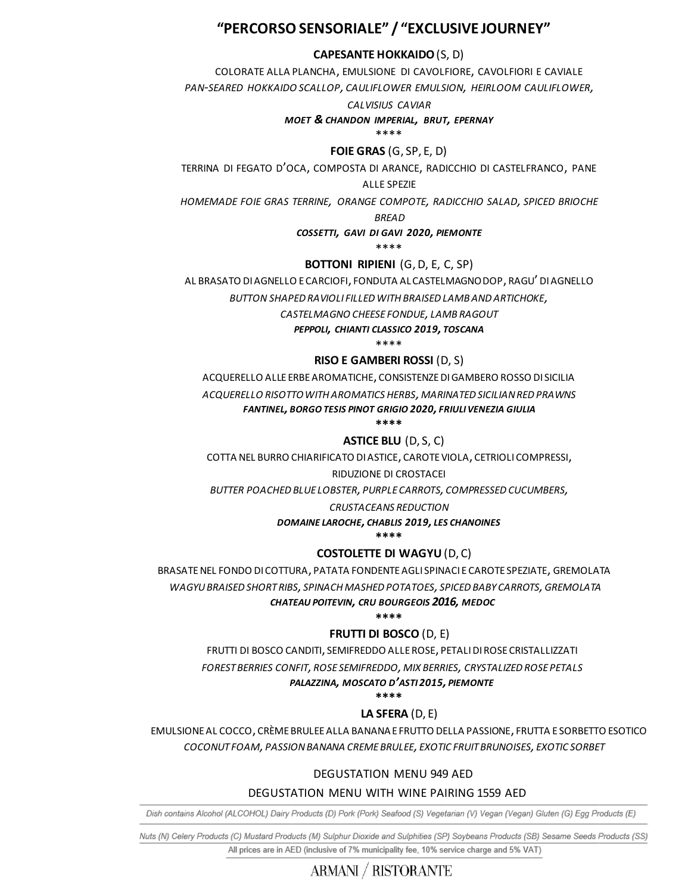## **"PERCORSO SENSORIALE" / "EXCLUSIVE JOURNEY"**

#### **CAPESANTE HOKKAIDO** (S, D)

COLORATE ALLA PLANCHA, EMULSIONE DI CAVOLFIORE, CAVOLFIORI E CAVIALE

*PAN-SEARED HOKKAIDO SCALLOP, CAULIFLOWER EMULSION, HEIRLOOM CAULIFLOWER,*

#### *CALVISIUS CAVIAR*

#### *MOET & CHANDON IMPERIAL, BRUT, EPERNAY*

\*\*\*\*

#### **FOIE GRAS** (G, SP, E, D)

TERRINA DI FEGATO D'OCA, COMPOSTA DI ARANCE, RADICCHIO DI CASTELFRANCO, PANE

ALLE SPEZIE

*HOMEMADE FOIE GRAS TERRINE, ORANGE COMPOTE, RADICCHIO SALAD, SPICED BRIOCHE* 

#### *BREAD*

#### *COSSETTI, GAVI DI GAVI 2020, PIEMONTE*

\*\*\*\*

#### **BOTTONI RIPIENI** (G, D, E, C, SP)

AL BRASATO DI AGNELLO E CARCIOFI, FONDUTA AL CASTELMAGNO DOP, RAGU' DI AGNELLO

*BUTTON SHAPED RAVIOLI FILLED WITH BRAISED LAMB AND ARTICHOKE,*

*CASTELMAGNO CHEESE FONDUE, LAMB RAGOUT*

*PEPPOLI, CHIANTI CLASSICO 2019, TOSCANA*

\*\*\*\*

#### **RISO E GAMBERI ROSSI** (D, S)

ACQUERELLO ALLE ERBE AROMATICHE, CONSISTENZE DI GAMBERO ROSSO DI SICILIA

*ACQUERELLO RISOTTO WITH AROMATICS HERBS, MARINATED SICILIAN RED PRAWNS*

*FANTINEL, BORGO TESIS PINOT GRIGIO 2020, FRIULI VENEZIA GIULIA*

**\*\*\*\***

## **ASTICE BLU** (D, S, C)

COTTA NEL BURRO CHIARIFICATO DI ASTICE, CAROTE VIOLA, CETRIOLI COMPRESSI,

#### RIDUZIONE DI CROSTACEI

*BUTTER POACHED BLUE LOBSTER, PURPLE CARROTS, COMPRESSED CUCUMBERS,*

#### *CRUSTACEANS REDUCTION*

*DOMAINE LAROCHE, CHABLIS 2019, LES CHANOINES*

**\*\*\*\***

## **COSTOLETTE DI WAGYU** (D, C)

 BRASATE NEL FONDO DI COTTURA, PATATA FONDENTE AGLI SPINACI E CAROTE SPEZIATE, GREMOLATA  *WAGYU BRAISED SHORT RIBS, SPINACH MASHED POTATOES, SPICED BABY CARROTS,GREMOLATA*

#### *CHATEAU POITEVIN, CRU BOURGEOIS 2016, MEDOC*

#### **\*\*\*\***

## **FRUTTI DI BOSCO** (D, E)

FRUTTI DI BOSCO CANDITI, SEMIFREDDO ALLE ROSE, PETALI DI ROSE CRISTALLIZZATI

*FOREST BERRIES CONFIT, ROSE SEMIFREDDO, MIX BERRIES, CRYSTALIZED ROSE PETALS*

#### *PALAZZINA, MOSCATO D'ASTI 2015, PIEMONTE*

**\*\*\*\***

## **LA SFERA** (D, E)

EMULSIONE AL COCCO, CRÈME BRULEE ALLA BANANA E FRUTTO DELLA PASSIONE, FRUTTA E SORBETTO ESOTICO  *COCONUT FOAM, PASSION BANANA CREME BRULEE, EXOTIC FRUIT BRUNOISES, EXOTIC SORBET*

## DEGUSTATION MENU 949 AED

## DEGUSTATION MENU WITH WINE PAIRING 1559 AED

Dish contains Alcohol (ALCOHOL) Dairy Products (D) Pork (Pork) Seafood (S) Vegetarian (V) Vegan (Vegan) Gluten (G) Egg Products (E)

Nuts (N) Celery Products (C) Mustard Products (M) Sulphur Dioxide and Sulphities (SP) Soybeans Products (SB) Sesame Seeds Products (SS) All prices are in AED (inclusive of 7% municipality fee, 10% service charge and 5% VAT)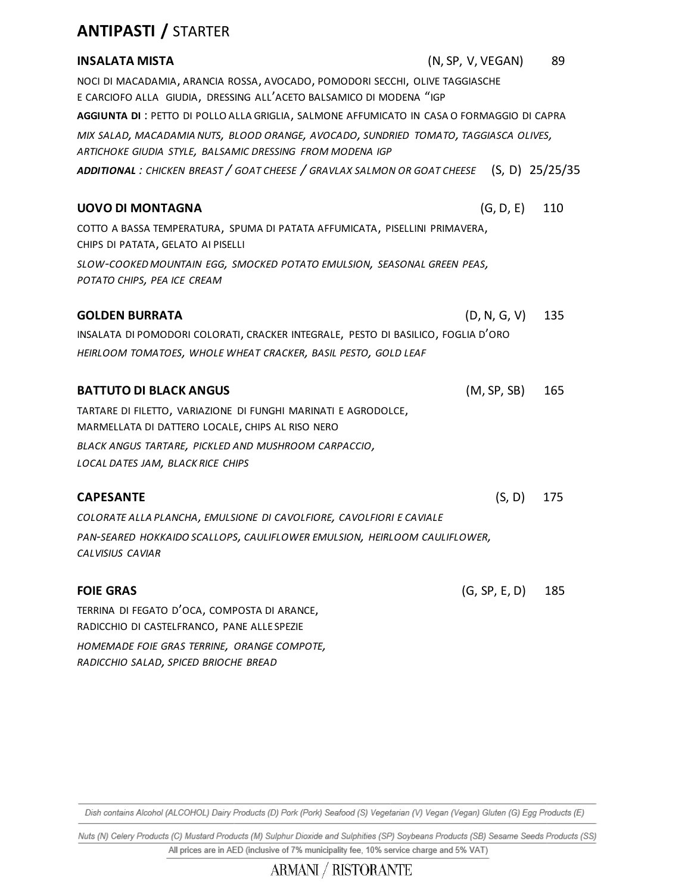# **ANTIPASTI /** STARTER

*RADICCHIO SALAD, SPICED BRIOCHE BREAD*

| <b>INSALATA MISTA</b>                                                                                                                               | (N, SP, V, VEGAN) | 89  |
|-----------------------------------------------------------------------------------------------------------------------------------------------------|-------------------|-----|
| NOCI DI MACADAMIA, ARANCIA ROSSA, AVOCADO, POMODORI SECCHI, OLIVE TAGGIASCHE<br>E CARCIOFO ALLA GIUDIA, DRESSING ALL'ACETO BALSAMICO DI MODENA "IGP |                   |     |
| AGGIUNTA DI : PETTO DI POLLO ALLA GRIGLIA, SALMONE AFFUMICATO IN CASA O FORMAGGIO DI CAPRA                                                          |                   |     |
| MIX SALAD, MACADAMIA NUTS, BLOOD ORANGE, AVOCADO, SUNDRIED TOMATO, TAGGIASCA OLIVES,<br>ARTICHOKE GIUDIA STYLE, BALSAMIC DRESSING FROM MODENA IGP   |                   |     |
| ADDITIONAL: CHICKEN BREAST / GOAT CHEESE / GRAVLAX SALMON OR GOAT CHEESE (S, D) 25/25/35                                                            |                   |     |
| <b>UOVO DI MONTAGNA</b>                                                                                                                             | (G, D, E)         | 110 |
| COTTO A BASSA TEMPERATURA, SPUMA DI PATATA AFFUMICATA, PISELLINI PRIMAVERA,<br>CHIPS DI PATATA, GELATO AI PISELLI                                   |                   |     |
| SLOW-COOKED MOUNTAIN EGG, SMOCKED POTATO EMULSION, SEASONAL GREEN PEAS,<br>POTATO CHIPS, PEA ICE CREAM                                              |                   |     |
| <b>GOLDEN BURRATA</b>                                                                                                                               | (D, N, G, V)      | 135 |
| INSALATA DI POMODORI COLORATI, CRACKER INTEGRALE, PESTO DI BASILICO, FOGLIA D'ORO                                                                   |                   |     |
| HEIRLOOM TOMATOES, WHOLE WHEAT CRACKER, BASIL PESTO, GOLD LEAF                                                                                      |                   |     |
| <b>BATTUTO DI BLACK ANGUS</b>                                                                                                                       | (M, SP, SB)       | 165 |
| TARTARE DI FILETTO, VARIAZIONE DI FUNGHI MARINATI E AGRODOLCE,<br>MARMELLATA DI DATTERO LOCALE, CHIPS AL RISO NERO                                  |                   |     |
| BLACK ANGUS TARTARE, PICKLED AND MUSHROOM CARPACCIO,<br>LOCAL DATES JAM, BLACK RICE CHIPS                                                           |                   |     |
| <b>CAPESANTE</b>                                                                                                                                    | (S, D)            | 175 |
| COLORATE ALLA PLANCHA, EMULSIONE DI CAVOLFIORE, CAVOLFIORI E CAVIALE                                                                                |                   |     |
| PAN-SEARED HOKKAIDO SCALLOPS, CAULIFLOWER EMULSION, HEIRLOOM CAULIFLOWER,<br>CALVISIUS CAVIAR                                                       |                   |     |
| <b>FOIE GRAS</b>                                                                                                                                    | (G, SP, E, D)     | 185 |
| TERRINA DI FEGATO D'OCA, COMPOSTA DI ARANCE,<br>RADICCHIO DI CASTELFRANCO, PANE ALLESPEZIE                                                          |                   |     |
| HOMEMADE FOIE GRAS TERRINE, ORANGE COMPOTE,                                                                                                         |                   |     |

Dish contains Alcohol (ALCOHOL) Dairy Products (D) Pork (Pork) Seafood (S) Vegetarian (V) Vegan (Vegan) Gluten (G) Egg Products (E)

Nuts (N) Celery Products (C) Mustard Products (M) Sulphur Dioxide and Sulphities (SP) Soybeans Products (SB) Sesame Seeds Products (SS) All prices are in AED (inclusive of 7% municipality fee, 10% service charge and 5% VAT)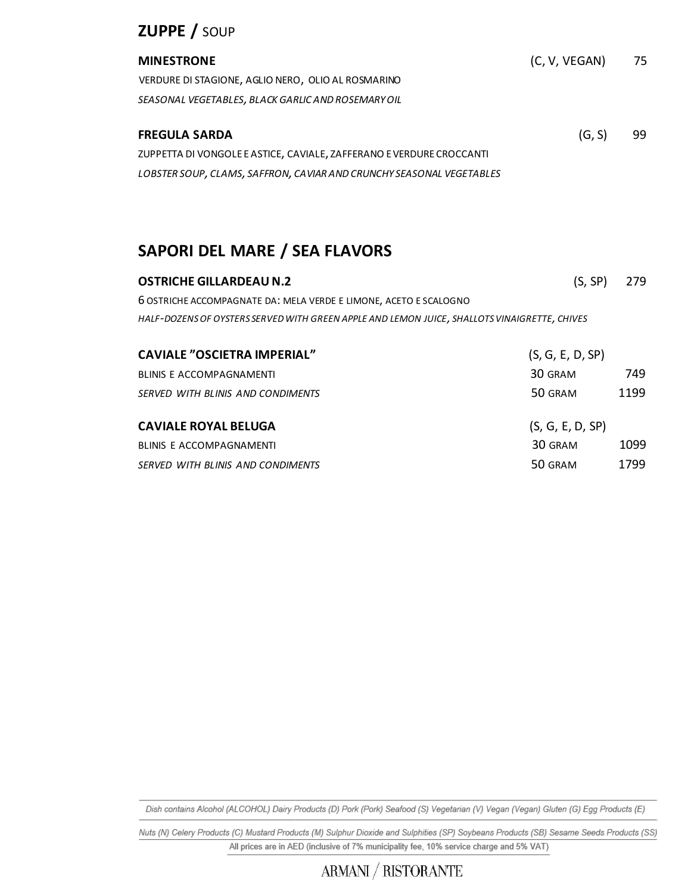# **ZUPPE /** SOUP

| <b>MINESTRONE</b>                                                    | (C, V, VEGAN) | 75 |
|----------------------------------------------------------------------|---------------|----|
| VERDURE DI STAGIONE, AGLIO NERO, OLIO AL ROSMARINO                   |               |    |
| SEASONAL VEGETABLES, BLACK GARLIC AND ROSEMARY OIL                   |               |    |
|                                                                      |               |    |
| <b>FREGULA SARDA</b>                                                 | (G, S)        | 99 |
| ZUPPETTA DI VONGOLE E ASTICE, CAVIALE, ZAFFERANO E VERDURE CROCCANTI |               |    |
| LOBSTER SOUP, CLAMS, SAFFRON, CAVIAR AND CRUNCHY SEASONAL VEGETABLES |               |    |

# **SAPORI DEL MARE / SEA FLAVORS**

| <b>OSTRICHE GILLARDEAU N.2</b>                                                               | (S, SP)          | 279  |
|----------------------------------------------------------------------------------------------|------------------|------|
| 6 OSTRICHE ACCOMPAGNATE DA: MELA VERDE E LIMONE, ACETO E SCALOGNO                            |                  |      |
| HALF-DOZENS OF OYSTERS SERVED WITH GREEN APPLE AND LEMON JUICE, SHALLOTS VINAIGRETTE, CHIVES |                  |      |
| <b>CAVIALE "OSCIETRA IMPERIAL"</b>                                                           | (S, G, E, D, SP) |      |
| <b>BLINIS E ACCOMPAGNAMENTI</b>                                                              | 30 GRAM          | 749  |
| SERVED WITH BLINIS AND CONDIMENTS                                                            | 50 GRAM          | 1199 |
| <b>CAVIALE ROYAL BELUGA</b>                                                                  | (S, G, E, D, SP) |      |

| LAVIALE ROYAL BELUGA              | (S, G, E, D, SP) |      |  |
|-----------------------------------|------------------|------|--|
| BLINIS E ACCOMPAGNAMENTI          | 30 GRAM          | 1099 |  |
| SERVED WITH BLINIS AND CONDIMENTS | 50 GRAM          | 1799 |  |

Dish contains Alcohol (ALCOHOL) Dairy Products (D) Pork (Pork) Seafood (S) Vegetarian (V) Vegan (Vegan) Gluten (G) Egg Products (E)

Nuts (N) Celery Products (C) Mustard Products (M) Sulphur Dioxide and Sulphities (SP) Soybeans Products (SB) Sesame Seeds Products (SS) All prices are in AED (inclusive of 7% municipality fee, 10% service charge and 5% VAT)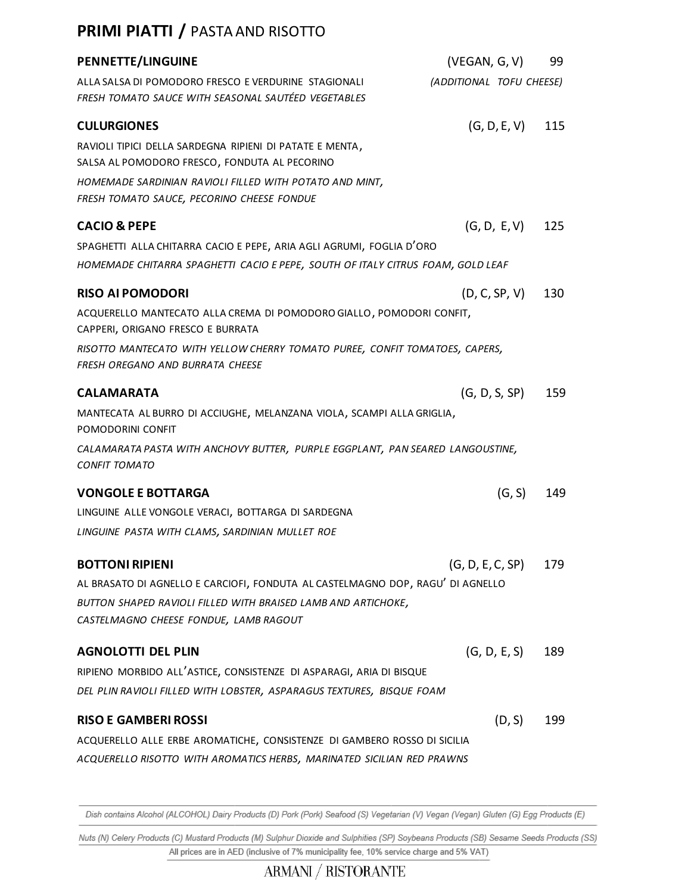## **PRIMI PIATTI /** PASTA AND RISOTTO

| <b>PENNETTE/LINGUINE</b>                                                                                                                                | (VEGAN, G, V)            | 99  |
|---------------------------------------------------------------------------------------------------------------------------------------------------------|--------------------------|-----|
| ALLA SALSA DI POMODORO FRESCO E VERDURINE STAGIONALI<br>FRESH TOMATO SAUCE WITH SEASONAL SAUTÉED VEGETABLES                                             | (ADDITIONAL TOFU CHEESE) |     |
| <b>CULURGIONES</b>                                                                                                                                      | (G, D, E, V)             | 115 |
| RAVIOLI TIPICI DELLA SARDEGNA RIPIENI DI PATATE E MENTA,<br>SALSA AL POMODORO FRESCO, FONDUTA AL PECORINO                                               |                          |     |
| HOMEMADE SARDINIAN RAVIOLI FILLED WITH POTATO AND MINT,<br>FRESH TOMATO SAUCE, PECORINO CHEESE FONDUE                                                   |                          |     |
| <b>CACIO &amp; PEPE</b>                                                                                                                                 | (G, D, E, V)             | 125 |
| SPAGHETTI ALLA CHITARRA CACIO E PEPE, ARIA AGLI AGRUMI, FOGLIA D'ORO<br>HOMEMADE CHITARRA SPAGHETTI CACIO E PEPE, SOUTH OF ITALY CITRUS FOAM, GOLD LEAF |                          |     |
| <b>RISO AI POMODORI</b>                                                                                                                                 | (D, C, SP, V)            | 130 |
| ACQUERELLO MANTECATO ALLA CREMA DI POMODORO GIALLO, POMODORI CONFIT,<br>CAPPERI, ORIGANO FRESCO E BURRATA                                               |                          |     |
| RISOTTO MANTECATO WITH YELLOW CHERRY TOMATO PUREE, CONFIT TOMATOES, CAPERS,<br>FRESH OREGANO AND BURRATA CHEESE                                         |                          |     |
| <b>CALAMARATA</b>                                                                                                                                       | (G, D, S, SP)            | 159 |
| MANTECATA AL BURRO DI ACCIUGHE, MELANZANA VIOLA, SCAMPI ALLA GRIGLIA,<br>POMODORINI CONFIT                                                              |                          |     |
| CALAMARATA PASTA WITH ANCHOVY BUTTER, PURPLE EGGPLANT, PAN SEARED LANGOUSTINE,<br><b>CONFIT TOMATO</b>                                                  |                          |     |
| <b>VONGOLE E BOTTARGA</b>                                                                                                                               | (G, S)                   | 149 |
| LINGUINE ALLE VONGOLE VERACI, BOTTARGA DI SARDEGNA                                                                                                      |                          |     |
| LINGUINE PASTA WITH CLAMS, SARDINIAN MULLET ROE                                                                                                         |                          |     |
| <b>BOTTONI RIPIENI</b>                                                                                                                                  | (G, D, E, C, SP)         | 179 |
| AL BRASATO DI AGNELLO E CARCIOFI, FONDUTA AL CASTELMAGNO DOP, RAGU' DI AGNELLO                                                                          |                          |     |
| BUTTON SHAPED RAVIOLI FILLED WITH BRAISED LAMB AND ARTICHOKE,                                                                                           |                          |     |
| CASTELMAGNO CHEESE FONDUE, LAMB RAGOUT                                                                                                                  |                          |     |
| <b>AGNOLOTTI DEL PLIN</b>                                                                                                                               | (G, D, E, S)             | 189 |
| RIPIENO MORBIDO ALL'ASTICE, CONSISTENZE DI ASPARAGI, ARIA DI BISQUE                                                                                     |                          |     |
| DEL PLIN RAVIOLI FILLED WITH LOBSTER, ASPARAGUS TEXTURES, BISQUE FOAM                                                                                   |                          |     |
| <b>RISO E GAMBERI ROSSI</b>                                                                                                                             | (D, S)                   | 199 |
| ACQUERELLO ALLE ERBE AROMATICHE, CONSISTENZE DI GAMBERO ROSSO DI SICILIA                                                                                |                          |     |
| ACQUERELLO RISOTTO WITH AROMATICS HERBS, MARINATED SICILIAN RED PRAWNS                                                                                  |                          |     |

Dish contains Alcohol (ALCOHOL) Dairy Products (D) Pork (Pork) Seafood (S) Vegetarian (V) Vegan (Vegan) Gluten (G) Egg Products (E)

Nuts (N) Celery Products (C) Mustard Products (M) Sulphur Dioxide and Sulphities (SP) Soybeans Products (SB) Sesame Seeds Products (SS) All prices are in AED (inclusive of 7% municipality fee, 10% service charge and 5% VAT)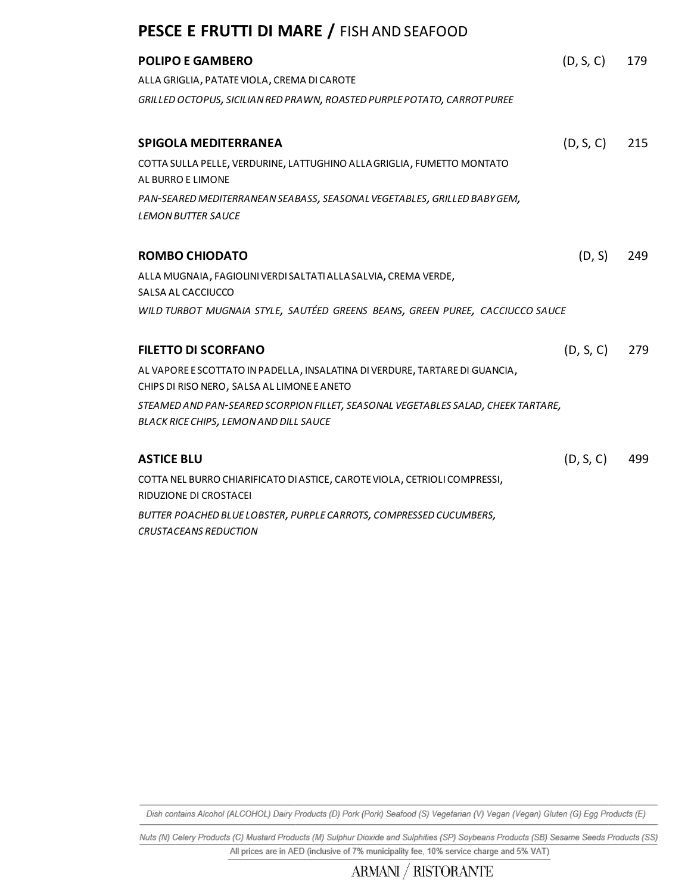## **PESCE E FRUTTI DI MARE /** FISH AND SEAFOOD

| <b>POLIPO E GAMBERO</b>                                                                             | (D, S, C) | 179 |
|-----------------------------------------------------------------------------------------------------|-----------|-----|
| ALLA GRIGLIA, PATATE VIOLA, CREMA DI CAROTE                                                         |           |     |
| GRILLED OCTOPUS, SICILIAN RED PRAWN, ROASTED PURPLE POTATO, CARROT PUREE                            |           |     |
|                                                                                                     |           |     |
| <b>SPIGOLA MEDITERRANEA</b>                                                                         | (D, S, C) | 215 |
| COTTA SULLA PELLE, VERDURINE, LATTUGHINO ALLA GRIGLIA, FUMETTO MONTATO<br>AL BURRO E LIMONE         |           |     |
| PAN-SEARED MEDITERRANEAN SEABASS, SEASONAL VEGETABLES, GRILLED BABY GEM,                            |           |     |
| <b>LEMON BUTTER SAUCE</b>                                                                           |           |     |
|                                                                                                     |           |     |
| <b>ROMBO CHIODATO</b>                                                                               | (D, S)    | 249 |
| ALLA MUGNAIA, FAGIOLINI VERDI SALTATI ALLA SALVIA, CREMA VERDE,                                     |           |     |
| SALSA AL CACCIUCCO                                                                                  |           |     |
| WILD TURBOT MUGNAIA STYLE, SAUTÉED GREENS BEANS, GREEN PUREE, CACCIUCCO SAUCE                       |           |     |
| <b>FILETTO DI SCORFANO</b>                                                                          | (D, S, C) | 279 |
| AL VAPORE E SCOTTATO IN PADELLA, INSALATINA DI VERDURE, TARTARE DI GUANCIA,                         |           |     |
| CHIPS DI RISO NERO, SALSA AL LIMONE E ANETO                                                         |           |     |
| STEAMED AND PAN-SEARED SCORPION FILLET, SEASONAL VEGETABLES SALAD, CHEEK TARTARE,                   |           |     |
| BLACK RICE CHIPS, LEMON AND DILL SAUCE                                                              |           |     |
| <b>ASTICE BLU</b>                                                                                   | (D, S, C) | 499 |
| COTTA NEL BURRO CHIARIFICATO DI ASTICE, CAROTE VIOLA, CETRIOLI COMPRESSI,<br>RIDUZIONE DI CROSTACEI |           |     |
|                                                                                                     |           |     |

*BUTTER POACHED BLUE LOBSTER, PURPLE CARROTS, COMPRESSED CUCUMBERS, CRUSTACEANS REDUCTION* 

Dish contains Alcohol (ALCOHOL) Dairy Products (D) Pork (Pork) Seafood (S) Vegetarian (V) Vegan (Vegan) Gluten (G) Egg Products (E)

Nuts (N) Celery Products (C) Mustard Products (M) Sulphur Dioxide and Sulphities (SP) Soybeans Products (SB) Sesame Seeds Products (SS) All prices are in AED (inclusive of 7% municipality fee, 10% service charge and 5% VAT)